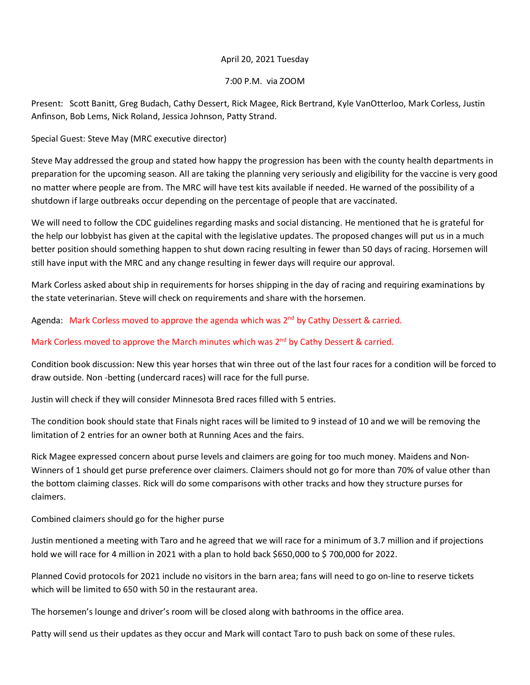## April 20, 2021 Tuesday

7:00 P.M. via ZOOM

Present: Scott Banitt, Greg Budach, Cathy Dessert, Rick Magee, Rick Bertrand, Kyle VanOtterloo, Mark Corless, Justin Anfinson, Bob Lems, Nick Roland, Jessica Johnson, Patty Strand.

Special Guest: Steve May (MRC executive director)

Steve May addressed the group and stated how happy the progression has been with the county health departments in preparation for the upcoming season. All are taking the planning very seriously and eligibility for the vaccine is very good no matter where people are from. The MRC will have test kits available if needed. He warned of the possibility of a shutdown if large outbreaks occur depending on the percentage of people that are vaccinated.

We will need to follow the CDC guidelines regarding masks and social distancing. He mentioned that he is grateful for the help our lobbyist has given at the capital with the legislative updates. The proposed changes will put us in a much better position should something happen to shut down racing resulting in fewer than 50 days of racing. Horsemen will still have input with the MRC and any change resulting in fewer days will require our approval.

Mark Corless asked about ship in requirements for horses shipping in the day of racing and requiring examinations by the state veterinarian. Steve will check on requirements and share with the horsemen.

Agenda: Mark Corless moved to approve the agenda which was  $2<sup>nd</sup>$  by Cathy Dessert & carried.

## Mark Corless moved to approve the March minutes which was 2<sup>nd</sup> by Cathy Dessert & carried.

Condition book discussion: New this year horses that win three out of the last four races for a condition will be forced to draw outside. Non -betting (undercard races) will race for the full purse.

Justin will check if they will consider Minnesota Bred races filled with 5 entries.

The condition book should state that Finals night races will be limited to 9 instead of 10 and we will be removing the limitation of 2 entries for an owner both at Running Aces and the fairs.

Rick Magee expressed concern about purse levels and claimers are going for too much money. Maidens and Non-Winners of 1 should get purse preference over claimers. Claimers should not go for more than 70% of value other than the bottom claiming classes. Rick will do some comparisons with other tracks and how they structure purses for claimers.

Combined claimers should go for the higher purse

Justin mentioned a meeting with Taro and he agreed that we will race for a minimum of 3.7 million and if projections hold we will race for 4 million in 2021 with a plan to hold back \$650,000 to \$ 700,000 for 2022.

Planned Covid protocols for 2021 include no visitors in the barn area; fans will need to go on-line to reserve tickets which will be limited to 650 with 50 in the restaurant area.

The horsemen's lounge and driver's room will be closed along with bathrooms in the office area.

Patty will send us their updates as they occur and Mark will contact Taro to push back on some of these rules.